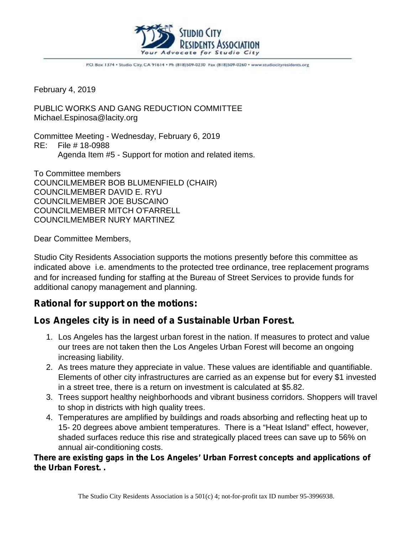

P.O. Box 1374 . Studio City, CA 91614 . Ph (818)509-0230 Fax (818)509-0260 . www.studiocityresidents.org

February 4, 2019

PUBLIC WORKS AND GANG REDUCTION COMMITTEE Michael.Espinosa@lacity.org

Committee Meeting - Wednesday, February 6, 2019 RE: File # 18-0988 Agenda Item #5 - Support for motion and related items.

To Committee members COUNCILMEMBER BOB BLUMENFIELD (CHAIR) COUNCILMEMBER DAVID E. RYU COUNCILMEMBER JOE BUSCAINO COUNCILMEMBER MITCH O'FARRELL COUNCILMEMBER NURY MARTINEZ

Dear Committee Members,

Studio City Residents Association supports the motions presently before this committee as indicated above i.e. amendments to the protected tree ordinance, tree replacement programs and for increased funding for staffing at the Bureau of Street Services to provide funds for additional canopy management and planning.

## **Rational for support on the motions:**

## **Los Angeles city is in need of a Sustainable Urban Forest.**

- 1. Los Angeles has the largest urban forest in the nation. If measures to protect and value our trees are not taken then the Los Angeles Urban Forest will become an ongoing increasing liability.
- 2. As trees mature they appreciate in value. These values are identifiable and quantifiable. Elements of other city infrastructures are carried as an expense but for every \$1 invested in a street tree, there is a return on investment is calculated at \$5.82.
- 3. Trees support healthy neighborhoods and vibrant business corridors. Shoppers will travel to shop in districts with high quality trees.
- 4. Temperatures are amplified by buildings and roads absorbing and reflecting heat up to 15- 20 degrees above ambient temperatures. There is a "Heat Island" effect, however, shaded surfaces reduce this rise and strategically placed trees can save up to 56% on annual air-conditioning costs.

**There are existing gaps in the Los Angeles' Urban Forrest concepts and applications of the Urban Forest. .**